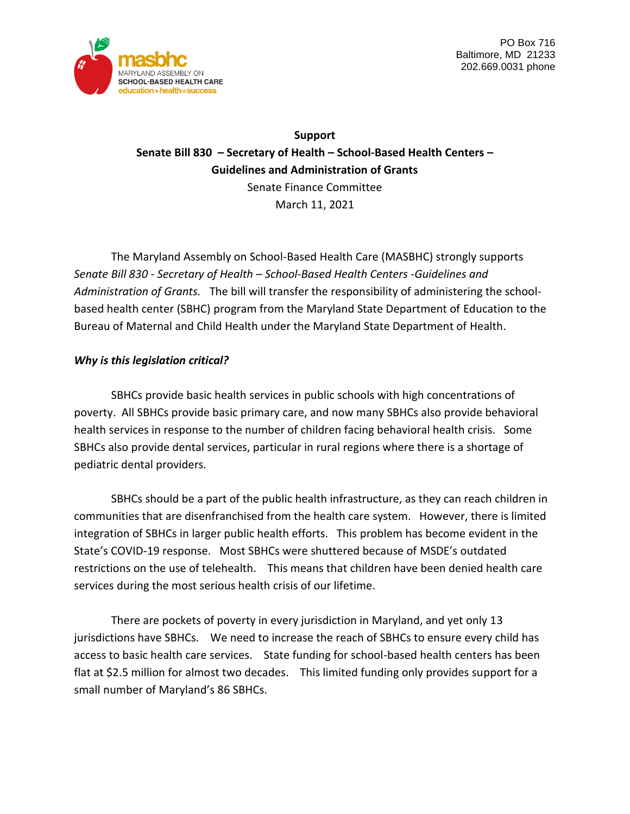

PO Box 716 Baltimore, MD 21233 202.669.0031 phone

**Support Senate Bill 830 – Secretary of Health – School-Based Health Centers – Guidelines and Administration of Grants** Senate Finance Committee March 11, 2021

The Maryland Assembly on School-Based Health Care (MASBHC) strongly supports *Senate Bill 830 - Secretary of Health – School-Based Health Centers -Guidelines and Administration of Grants.* The bill will transfer the responsibility of administering the schoolbased health center (SBHC) program from the Maryland State Department of Education to the Bureau of Maternal and Child Health under the Maryland State Department of Health.

## *Why is this legislation critical?*

SBHCs provide basic health services in public schools with high concentrations of poverty. All SBHCs provide basic primary care, and now many SBHCs also provide behavioral health services in response to the number of children facing behavioral health crisis. Some SBHCs also provide dental services, particular in rural regions where there is a shortage of pediatric dental providers.

SBHCs should be a part of the public health infrastructure, as they can reach children in communities that are disenfranchised from the health care system. However, there is limited integration of SBHCs in larger public health efforts. This problem has become evident in the State's COVID-19 response. Most SBHCs were shuttered because of MSDE's outdated restrictions on the use of telehealth. This means that children have been denied health care services during the most serious health crisis of our lifetime.

There are pockets of poverty in every jurisdiction in Maryland, and yet only 13 jurisdictions have SBHCs. We need to increase the reach of SBHCs to ensure every child has access to basic health care services. State funding for school-based health centers has been flat at \$2.5 million for almost two decades. This limited funding only provides support for a small number of Maryland's 86 SBHCs.